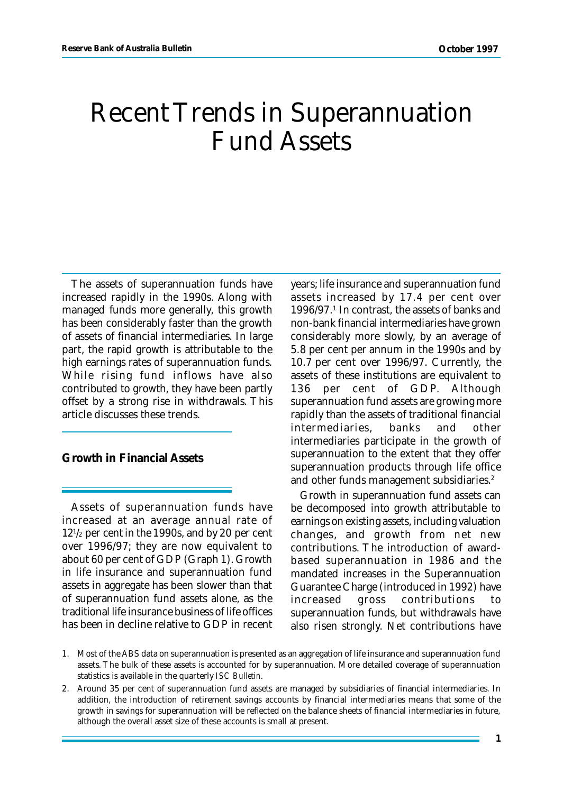# Recent Trends in Superannuation Fund Assets

The assets of superannuation funds have increased rapidly in the 1990s. Along with managed funds more generally, this growth has been considerably faster than the growth of assets of financial intermediaries. In large part, the rapid growth is attributable to the high earnings rates of superannuation funds. While rising fund inflows have also contributed to growth, they have been partly offset by a strong rise in withdrawals. This article discusses these trends.

## **Growth in Financial Assets**

Assets of superannuation funds have increased at an average annual rate of 12<sup>1</sup> /2 per cent in the 1990s, and by 20 per cent over 1996/97; they are now equivalent to about 60 per cent of GDP (Graph 1). Growth in life insurance and superannuation fund assets in aggregate has been slower than that of superannuation fund assets alone, as the traditional life insurance business of life offices has been in decline relative to GDP in recent years; life insurance and superannuation fund assets increased by 17.4 per cent over 1996/97.<sup>1</sup> In contrast, the assets of banks and non-bank financial intermediaries have grown considerably more slowly, by an average of 5.8 per cent per annum in the 1990s and by 10.7 per cent over 1996/97. Currently, the assets of these institutions are equivalent to 136 per cent of GDP. Although superannuation fund assets are growing more rapidly than the assets of traditional financial intermediaries, banks and other intermediaries participate in the growth of superannuation to the extent that they offer superannuation products through life office and other funds management subsidiaries.<sup>2</sup>

Growth in superannuation fund assets can be decomposed into growth attributable to earnings on existing assets, including valuation changes, and growth from net new contributions. The introduction of awardbased superannuation in 1986 and the mandated increases in the Superannuation Guarantee Charge (introduced in 1992) have increased gross contributions to superannuation funds, but withdrawals have also risen strongly. Net contributions have

<sup>1.</sup> Most of the ABS data on superannuation is presented as an aggregation of life insurance and superannuation fund assets. The bulk of these assets is accounted for by superannuation. More detailed coverage of superannuation statistics is available in the quarterly *ISC Bulletin*.

<sup>2.</sup> Around 35 per cent of superannuation fund assets are managed by subsidiaries of financial intermediaries. In addition, the introduction of retirement savings accounts by financial intermediaries means that some of the growth in savings for superannuation will be reflected on the balance sheets of financial intermediaries in future, although the overall asset size of these accounts is small at present.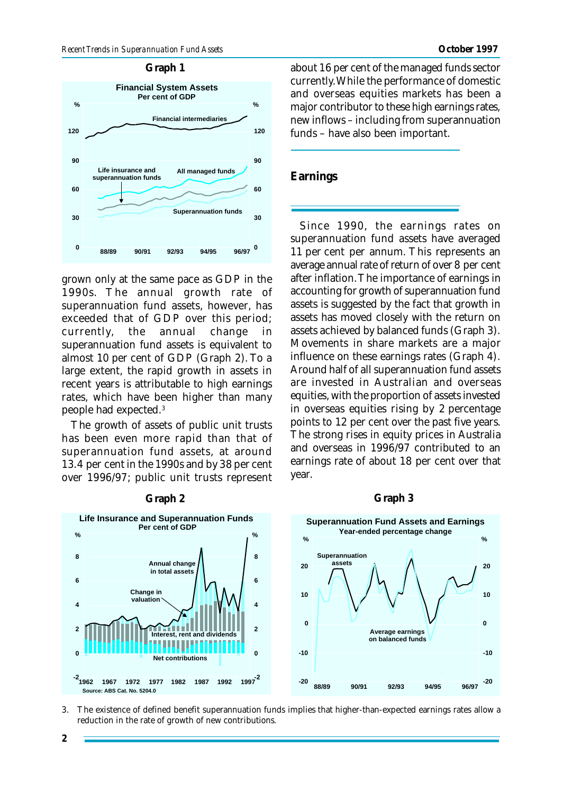### **Graph 1**



grown only at the same pace as GDP in the 1990s. The annual growth rate of superannuation fund assets, however, has exceeded that of GDP over this period; currently, the annual change in superannuation fund assets is equivalent to almost 10 per cent of GDP (Graph 2). To a large extent, the rapid growth in assets in recent years is attributable to high earnings rates, which have been higher than many people had expected.<sup>3</sup>

The growth of assets of public unit trusts has been even more rapid than that of superannuation fund assets, at around 13.4 per cent in the 1990s and by 38 per cent over 1996/97; public unit trusts represent

**Graph 2**

about 16 per cent of the managed funds sector currently. While the performance of domestic and overseas equities markets has been a major contributor to these high earnings rates, new inflows – including from superannuation funds – have also been important.

## **Earnings**

Since 1990, the earnings rates on superannuation fund assets have averaged 11 per cent per annum. This represents an average annual rate of return of over 8 per cent after inflation. The importance of earnings in accounting for growth of superannuation fund assets is suggested by the fact that growth in assets has moved closely with the return on assets achieved by balanced funds (Graph 3). Movements in share markets are a major influence on these earnings rates (Graph 4). Around half of all superannuation fund assets are invested in Australian and overseas equities, with the proportion of assets invested in overseas equities rising by 2 percentage points to 12 per cent over the past five years. The strong rises in equity prices in Australia and overseas in 1996/97 contributed to an earnings rate of about 18 per cent over that year.

#### **Graph 3**



3. The existence of defined benefit superannuation funds implies that higher-than-expected earnings rates allow a reduction in the rate of growth of new contributions.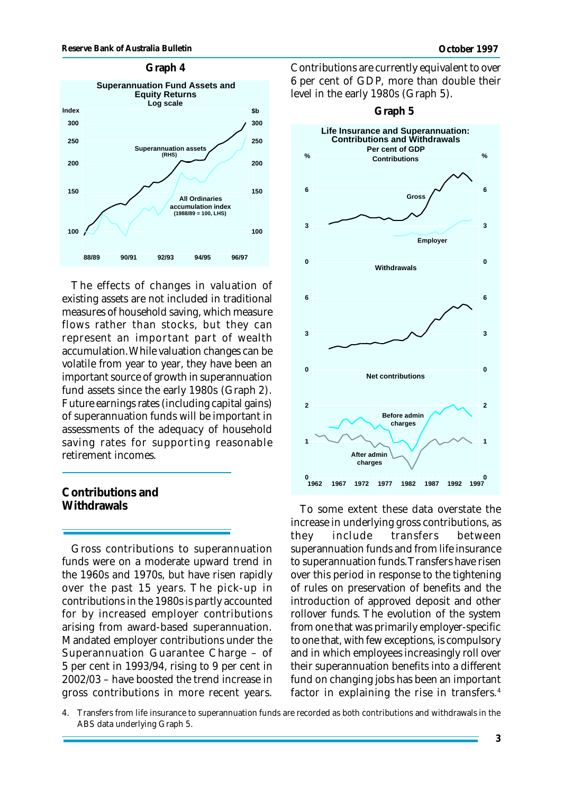

The effects of changes in valuation of existing assets are not included in traditional measures of household saving, which measure flows rather than stocks, but they can represent an important part of wealth accumulation. While valuation changes can be volatile from year to year, they have been an important source of growth in superannuation fund assets since the early 1980s (Graph 2). Future earnings rates (including capital gains) of superannuation funds will be important in assessments of the adequacy of household saving rates for supporting reasonable retirement incomes.

## **Contributions and Withdrawals**

Gross contributions to superannuation funds were on a moderate upward trend in the 1960s and 1970s, but have risen rapidly over the past 15 years. The pick-up in contributions in the 1980s is partly accounted for by increased employer contributions arising from award-based superannuation. Mandated employer contributions under the Superannuation Guarantee Charge – of 5 per cent in 1993/94, rising to 9 per cent in 2002/03 – have boosted the trend increase in gross contributions in more recent years.

Contributions are currently equivalent to over 6 per cent of GDP, more than double their level in the early 1980s (Graph 5).



To some extent these data overstate the increase in underlying gross contributions, as they include transfers between superannuation funds and from life insurance to superannuation funds. Transfers have risen over this period in response to the tightening of rules on preservation of benefits and the introduction of approved deposit and other rollover funds. The evolution of the system from one that was primarily employer-specific to one that, with few exceptions, is compulsory and in which employees increasingly roll over their superannuation benefits into a different fund on changing jobs has been an important factor in explaining the rise in transfers.<sup>4</sup>

<sup>4.</sup> Transfers from life insurance to superannuation funds are recorded as both contributions and withdrawals in the ABS data underlying Graph 5.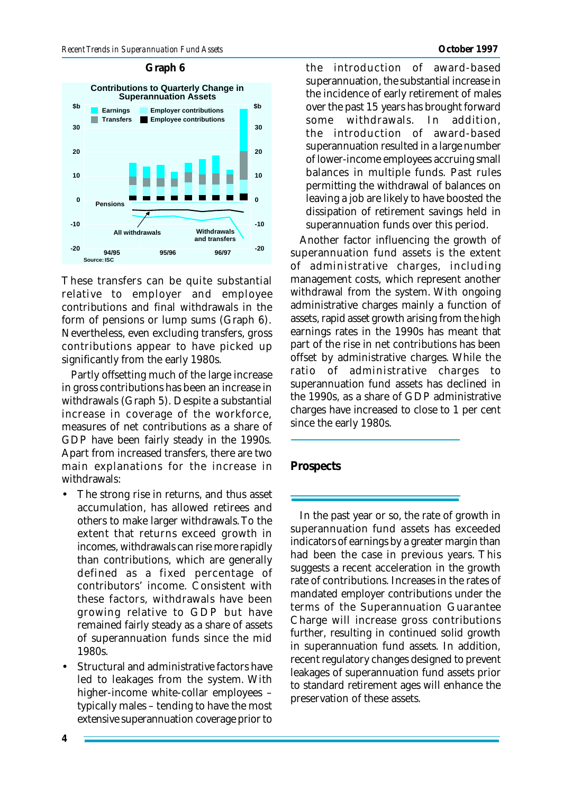#### **Source: ISC -20 -10 0 10 20 30 -20 -10 0 10 20 30 Contributions to Quarterly Change in Superannuation Assets 96/97 \$b Withdrawals and transfers 94/95 95/96 All withdrawals Pensions Earnings Transfers Employer contributions Employee contributions \$b**

These transfers can be quite substantial relative to employer and employee contributions and final withdrawals in the form of pensions or lump sums (Graph 6). Nevertheless, even excluding transfers, gross contributions appear to have picked up significantly from the early 1980s.

Partly offsetting much of the large increase in gross contributions has been an increase in withdrawals (Graph 5). Despite a substantial increase in coverage of the workforce, measures of net contributions as a share of GDP have been fairly steady in the 1990s. Apart from increased transfers, there are two main explanations for the increase in withdrawals:

- The strong rise in returns, and thus asset accumulation, has allowed retirees and others to make larger withdrawals. To the extent that returns exceed growth in incomes, withdrawals can rise more rapidly than contributions, which are generally defined as a fixed percentage of contributors' income. Consistent with these factors, withdrawals have been growing relative to GDP but have remained fairly steady as a share of assets of superannuation funds since the mid 1980s.
- Structural and administrative factors have led to leakages from the system. With higher-income white-collar employees – typically males – tending to have the most extensive superannuation coverage prior to

**Graph 6** the introduction of award-based superannuation, the substantial increase in the incidence of early retirement of males over the past 15 years has brought forward some withdrawals. In addition, the introduction of award-based superannuation resulted in a large number of lower-income employees accruing small balances in multiple funds. Past rules permitting the withdrawal of balances on leaving a job are likely to have boosted the dissipation of retirement savings held in superannuation funds over this period.

> Another factor influencing the growth of superannuation fund assets is the extent of administrative charges, including management costs, which represent another withdrawal from the system. With ongoing administrative charges mainly a function of assets, rapid asset growth arising from the high earnings rates in the 1990s has meant that part of the rise in net contributions has been offset by administrative charges. While the ratio of administrative charges to superannuation fund assets has declined in the 1990s, as a share of GDP administrative charges have increased to close to 1 per cent since the early 1980s.

## **Prospects**

In the past year or so, the rate of growth in superannuation fund assets has exceeded indicators of earnings by a greater margin than had been the case in previous years. This suggests a recent acceleration in the growth rate of contributions. Increases in the rates of mandated employer contributions under the terms of the Superannuation Guarantee Charge will increase gross contributions further, resulting in continued solid growth in superannuation fund assets. In addition, recent regulatory changes designed to prevent leakages of superannuation fund assets prior to standard retirement ages will enhance the preservation of these assets.